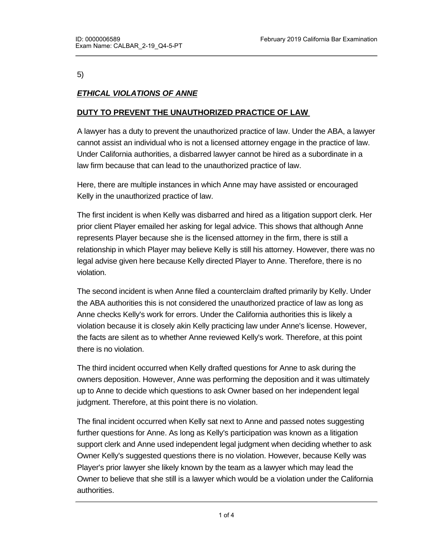#### 5)

# *ETHICAL VIOLATIONS OF ANNE*

### **DUTY TO PREVENT THE UNAUTHORIZED PRACTICE OF LAW**

A lawyer has a duty to prevent the unauthorized practice of law. Under the ABA, a lawyer cannot assist an individual who is not a licensed attorney engage in the practice of law. Under California authorities, a disbarred lawyer cannot be hired as a subordinate in a law firm because that can lead to the unauthorized practice of law.

Here, there are multiple instances in which Anne may have assisted or encouraged Kelly in the unauthorized practice of law.

The first incident is when Kelly was disbarred and hired as a litigation support clerk. Her prior client Player emailed her asking for legal advice. This shows that although Anne represents Player because she is the licensed attorney in the firm, there is still a relationship in which Player may believe Kelly is still his attorney. However, there was no legal advise given here because Kelly directed Player to Anne. Therefore, there is no violation.

The second incident is when Anne filed a counterclaim drafted primarily by Kelly. Under the ABA authorities this is not considered the unauthorized practice of law as long as Anne checks Kelly's work for errors. Under the California authorities this is likely a violation because it is closely akin Kelly practicing law under Anne's license. However, the facts are silent as to whether Anne reviewed Kelly's work. Therefore, at this point there is no violation.

The third incident occurred when Kelly drafted questions for Anne to ask during the owners deposition. However, Anne was performing the deposition and it was ultimately up to Anne to decide which questions to ask Owner based on her independent legal judgment. Therefore, at this point there is no violation.

The final incident occurred when Kelly sat next to Anne and passed notes suggesting further questions for Anne. As long as Kelly's participation was known as a litigation support clerk and Anne used independent legal judgment when deciding whether to ask Owner Kelly's suggested questions there is no violation. However, because Kelly was Player's prior lawyer she likely known by the team as a lawyer which may lead the Owner to believe that she still is a lawyer which would be a violation under the California authorities.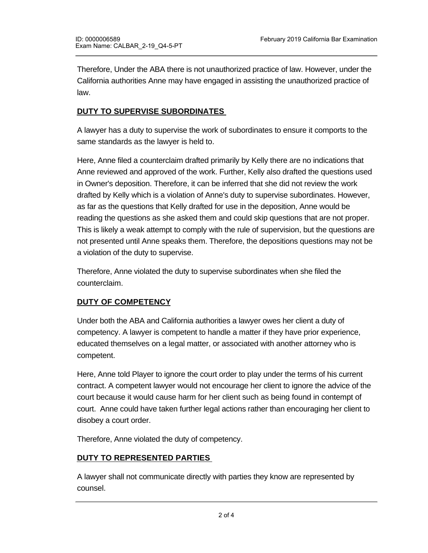Therefore, Under the ABA there is not unauthorized practice of law. However, under the California authorities Anne may have engaged in assisting the unauthorized practice of law.

### **DUTY TO SUPERVISE SUBORDINATES**

A lawyer has a duty to supervise the work of subordinates to ensure it comports to the same standards as the lawyer is held to.

Here, Anne filed a counterclaim drafted primarily by Kelly there are no indications that Anne reviewed and approved of the work. Further, Kelly also drafted the questions used in Owner's deposition. Therefore, it can be inferred that she did not review the work drafted by Kelly which is a violation of Anne's duty to supervise subordinates. However, as far as the questions that Kelly drafted for use in the deposition, Anne would be reading the questions as she asked them and could skip questions that are not proper. This is likely a weak attempt to comply with the rule of supervision, but the questions are not presented until Anne speaks them. Therefore, the depositions questions may not be a violation of the duty to supervise.

Therefore, Anne violated the duty to supervise subordinates when she filed the counterclaim.

#### **DUTY OF COMPETENCY**

Under both the ABA and California authorities a lawyer owes her client a duty of competency. A lawyer is competent to handle a matter if they have prior experience, educated themselves on a legal matter, or associated with another attorney who is competent.

Here, Anne told Player to ignore the court order to play under the terms of his current contract. A competent lawyer would not encourage her client to ignore the advice of the court because it would cause harm for her client such as being found in contempt of court. Anne could have taken further legal actions rather than encouraging her client to disobey a court order.

Therefore, Anne violated the duty of competency.

#### **DUTY TO REPRESENTED PARTIES**

A lawyer shall not communicate directly with parties they know are represented by counsel.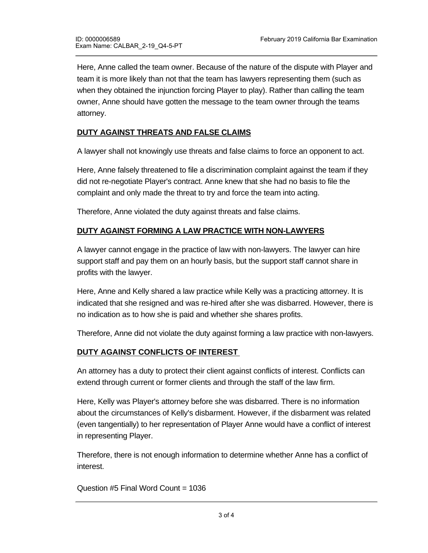Here, Anne called the team owner. Because of the nature of the dispute with Player and team it is more likely than not that the team has lawyers representing them (such as when they obtained the injunction forcing Player to play). Rather than calling the team owner, Anne should have gotten the message to the team owner through the teams attorney.

## **DUTY AGAINST THREATS AND FALSE CLAIMS**

A lawyer shall not knowingly use threats and false claims to force an opponent to act.

Here, Anne falsely threatened to file a discrimination complaint against the team if they did not re-negotiate Player's contract. Anne knew that she had no basis to file the complaint and only made the threat to try and force the team into acting.

Therefore, Anne violated the duty against threats and false claims.

#### **DUTY AGAINST FORMING A LAW PRACTICE WITH NON-LAWYERS**

A lawyer cannot engage in the practice of law with non-lawyers. The lawyer can hire support staff and pay them on an hourly basis, but the support staff cannot share in profits with the lawyer.

Here, Anne and Kelly shared a law practice while Kelly was a practicing attorney. It is indicated that she resigned and was re-hired after she was disbarred. However, there is no indication as to how she is paid and whether she shares profits.

Therefore, Anne did not violate the duty against forming a law practice with non-lawyers.

#### **DUTY AGAINST CONFLICTS OF INTEREST**

An attorney has a duty to protect their client against conflicts of interest. Conflicts can extend through current or former clients and through the staff of the law firm.

Here, Kelly was Player's attorney before she was disbarred. There is no information about the circumstances of Kelly's disbarment. However, if the disbarment was related (even tangentially) to her representation of Player Anne would have a conflict of interest in representing Player.

Therefore, there is not enough information to determine whether Anne has a conflict of interest.

Question #5 Final Word Count = 1036